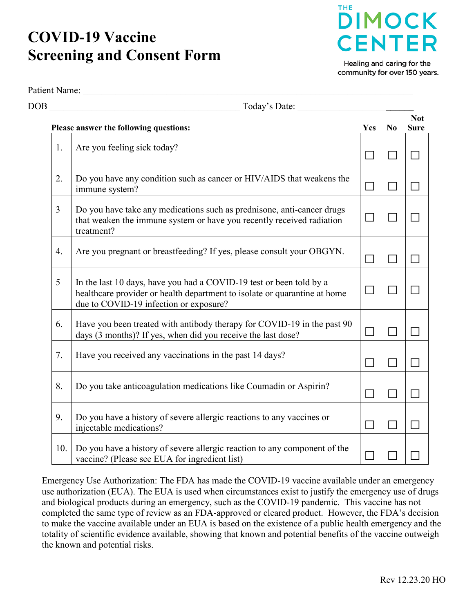## **COVID-19 Vaccine Screening and Consent Form**

Patient Name:



Healing and caring for the community for over 150 years.

|     | Today's Date:                                                                                                                                                                              |        |                |                           |
|-----|--------------------------------------------------------------------------------------------------------------------------------------------------------------------------------------------|--------|----------------|---------------------------|
|     | Please answer the following questions:                                                                                                                                                     | Yes    | N <sub>0</sub> | <b>Not</b><br><b>Sure</b> |
| 1.  | Are you feeling sick today?                                                                                                                                                                | $\Box$ | $\mathbf{L}$   |                           |
| 2.  | Do you have any condition such as cancer or HIV/AIDS that weakens the<br>immune system?                                                                                                    | $\Box$ | $\Box$         |                           |
| 3   | Do you have take any medications such as prednisone, anti-cancer drugs<br>that weaken the immune system or have you recently received radiation<br>treatment?                              | $\Box$ |                |                           |
| 4.  | Are you pregnant or breastfeeding? If yes, please consult your OBGYN.                                                                                                                      |        |                |                           |
| 5   | In the last 10 days, have you had a COVID-19 test or been told by a<br>healthcare provider or health department to isolate or quarantine at home<br>due to COVID-19 infection or exposure? | $\Box$ | $\mathbf{L}$   |                           |
| 6.  | Have you been treated with antibody therapy for COVID-19 in the past 90<br>days (3 months)? If yes, when did you receive the last dose?                                                    | $\Box$ | $\Box$         |                           |
| 7.  | Have you received any vaccinations in the past 14 days?                                                                                                                                    | П      | $\mathbf{L}$   |                           |
| 8.  | Do you take anticoagulation medications like Coumadin or Aspirin?                                                                                                                          | $\Box$ | $\Box$         |                           |
| 9.  | Do you have a history of severe allergic reactions to any vaccines or<br>injectable medications?                                                                                           | $\Box$ |                |                           |
| 10. | Do you have a history of severe allergic reaction to any component of the<br>vaccine? (Please see EUA for ingredient list)                                                                 |        |                |                           |

Emergency Use Authorization: The FDA has made the COVID-19 vaccine available under an emergency use authorization (EUA). The EUA is used when circumstances exist to justify the emergency use of drugs and biological products during an emergency, such as the COVID-19 pandemic. This vaccine has not completed the same type of review as an FDA-approved or cleared product. However, the FDA's decision to make the vaccine available under an EUA is based on the existence of a public health emergency and the totality of scientific evidence available, showing that known and potential benefits of the vaccine outweigh the known and potential risks.